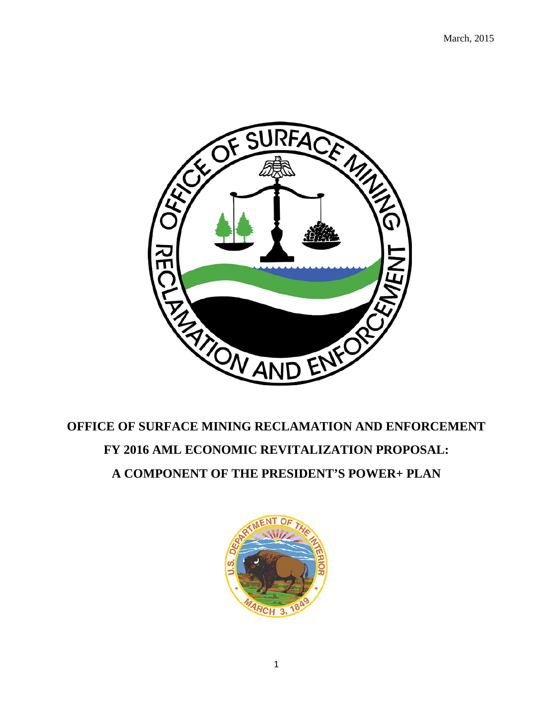

# **OFFICE OF SURFACE MINING RECLAMATION AND ENFORCEMENT FY 2016 AML ECONOMIC REVITALIZATION PROPOSAL: A COMPONENT OF THE PRESIDENT'S POWER+ PLAN**

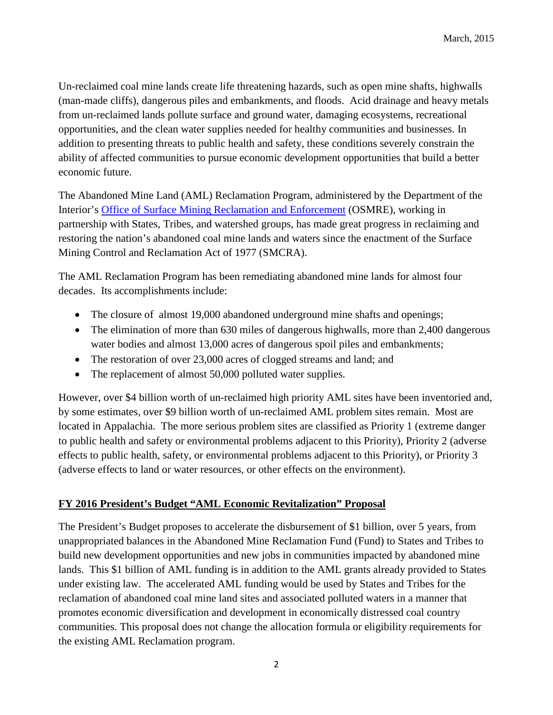Un-reclaimed coal mine lands create life threatening hazards, such as open mine shafts, highwalls (man-made cliffs), dangerous piles and embankments, and floods. Acid drainage and heavy metals from un-reclaimed lands pollute surface and ground water, damaging ecosystems, recreational opportunities, and the clean water supplies needed for healthy communities and businesses. In addition to presenting threats to public health and safety, these conditions severely constrain the ability of affected communities to pursue economic development opportunities that build a better economic future.

The Abandoned Mine Land (AML) Reclamation Program, administered by the Department of the Interior's [Office of Surface Mining Reclamation and Enforcement](http://www.osmre.gov/) (OSMRE), working in partnership with States, Tribes, and watershed groups, has made great progress in reclaiming and restoring the nation's abandoned coal mine lands and waters since the enactment of the Surface Mining Control and Reclamation Act of 1977 (SMCRA).

The AML Reclamation Program has been remediating abandoned mine lands for almost four decades. Its accomplishments include:

- The closure of almost 19,000 abandoned underground mine shafts and openings;
- The elimination of more than 630 miles of dangerous highwalls, more than 2,400 dangerous water bodies and almost 13,000 acres of dangerous spoil piles and embankments;
- The restoration of over 23,000 acres of clogged streams and land; and
- The replacement of almost 50,000 polluted water supplies.

However, over \$4 billion worth of un-reclaimed high priority AML sites have been inventoried and, by some estimates, over \$9 billion worth of un-reclaimed AML problem sites remain. Most are located in Appalachia. The more serious problem sites are classified as Priority 1 (extreme danger to public health and safety or environmental problems adjacent to this Priority), Priority 2 (adverse effects to public health, safety, or environmental problems adjacent to this Priority), or Priority 3 (adverse effects to land or water resources, or other effects on the environment).

## **FY 2016 President's Budget "AML Economic Revitalization" Proposal**

The President's Budget proposes to accelerate the disbursement of \$1 billion, over 5 years, from unappropriated balances in the Abandoned Mine Reclamation Fund (Fund) to States and Tribes to build new development opportunities and new jobs in communities impacted by abandoned mine lands. This \$1 billion of AML funding is in addition to the AML grants already provided to States under existing law. The accelerated AML funding would be used by States and Tribes for the reclamation of abandoned coal mine land sites and associated polluted waters in a manner that promotes economic diversification and development in economically distressed coal country communities. This proposal does not change the allocation formula or eligibility requirements for the existing AML Reclamation program.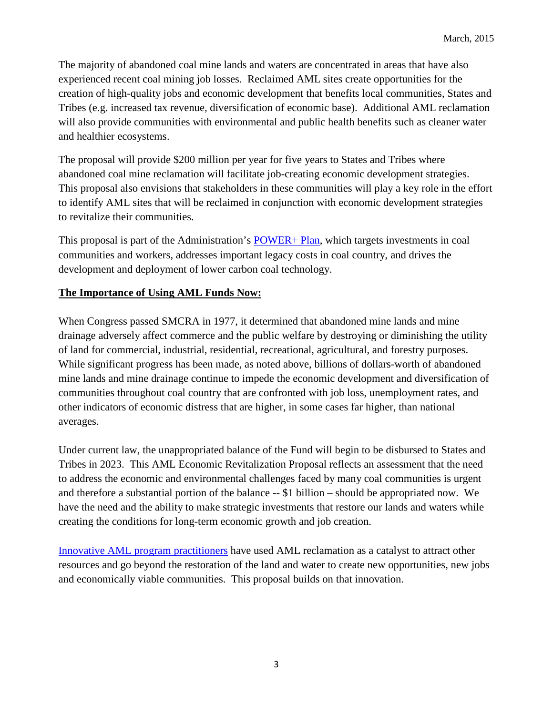The majority of abandoned coal mine lands and waters are concentrated in areas that have also experienced recent coal mining job losses. Reclaimed AML sites create opportunities for the creation of high-quality jobs and economic development that benefits local communities, States and Tribes (e.g. increased tax revenue, diversification of economic base). Additional AML reclamation will also provide communities with environmental and public health benefits such as cleaner water and healthier ecosystems.

The proposal will provide \$200 million per year for five years to States and Tribes where abandoned coal mine reclamation will facilitate job-creating economic development strategies. This proposal also envisions that stakeholders in these communities will play a key role in the effort to identify AML sites that will be reclaimed in conjunction with economic development strategies to revitalize their communities.

This proposal is part of the Administration's [POWER+ Plan,](http://www.whitehouse.gov/sites/default/files/omb/budget/fy2016/assets/fact_sheets/investing-in-coal-communities-workers-and-technology-the-power-plan.pdf) which targets investments in coal communities and workers, addresses important legacy costs in coal country, and drives the development and deployment of lower carbon coal technology.

#### **The Importance of Using AML Funds Now:**

When Congress passed SMCRA in 1977, it determined that abandoned mine lands and mine drainage adversely affect commerce and the public welfare by destroying or diminishing the utility of land for commercial, industrial, residential, recreational, agricultural, and forestry purposes. While significant progress has been made, as noted above, billions of dollars-worth of abandoned mine lands and mine drainage continue to impede the economic development and diversification of communities throughout coal country that are confronted with job loss, unemployment rates, and other indicators of economic distress that are higher, in some cases far higher, than national averages.

Under current law, the unappropriated balance of the Fund will begin to be disbursed to States and Tribes in 2023. This AML Economic Revitalization Proposal reflects an assessment that the need to address the economic and environmental challenges faced by many coal communities is urgent and therefore a substantial portion of the balance -- \$1 billion – should be appropriated now. We have the need and the ability to make strategic investments that restore our lands and waters while creating the conditions for long-term economic growth and job creation.

[Innovative AML program practitioners](http://www.osmre.gov/resources/budget/economicRevitalization.shtm) have used AML reclamation as a catalyst to attract other resources and go beyond the restoration of the land and water to create new opportunities, new jobs and economically viable communities. This proposal builds on that innovation.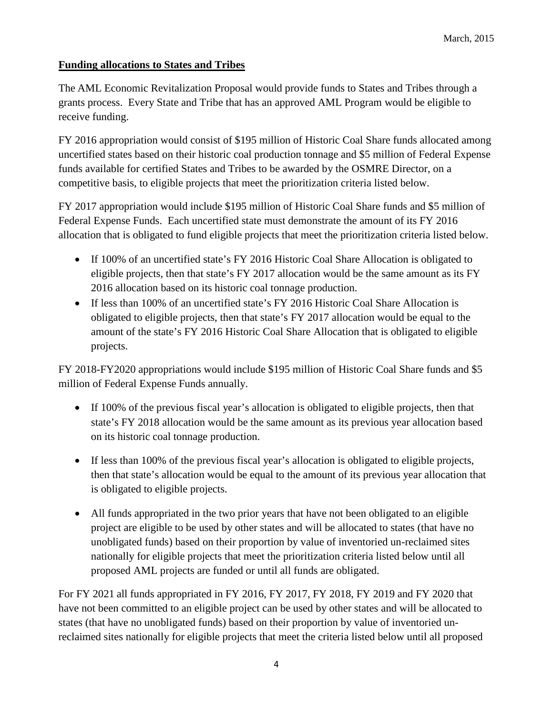## **Funding allocations to States and Tribes**

The AML Economic Revitalization Proposal would provide funds to States and Tribes through a grants process. Every State and Tribe that has an approved AML Program would be eligible to receive funding.

FY 2016 appropriation would consist of \$195 million of Historic Coal Share funds allocated among uncertified states based on their historic coal production tonnage and \$5 million of Federal Expense funds available for certified States and Tribes to be awarded by the OSMRE Director, on a competitive basis, to eligible projects that meet the prioritization criteria listed below.

FY 2017 appropriation would include \$195 million of Historic Coal Share funds and \$5 million of Federal Expense Funds. Each uncertified state must demonstrate the amount of its FY 2016 allocation that is obligated to fund eligible projects that meet the prioritization criteria listed below.

- If 100% of an uncertified state's FY 2016 Historic Coal Share Allocation is obligated to eligible projects, then that state's FY 2017 allocation would be the same amount as its FY 2016 allocation based on its historic coal tonnage production.
- If less than 100% of an uncertified state's FY 2016 Historic Coal Share Allocation is obligated to eligible projects, then that state's FY 2017 allocation would be equal to the amount of the state's FY 2016 Historic Coal Share Allocation that is obligated to eligible projects.

FY 2018-FY2020 appropriations would include \$195 million of Historic Coal Share funds and \$5 million of Federal Expense Funds annually.

- If 100% of the previous fiscal year's allocation is obligated to eligible projects, then that state's FY 2018 allocation would be the same amount as its previous year allocation based on its historic coal tonnage production.
- If less than 100% of the previous fiscal year's allocation is obligated to eligible projects, then that state's allocation would be equal to the amount of its previous year allocation that is obligated to eligible projects.
- All funds appropriated in the two prior years that have not been obligated to an eligible project are eligible to be used by other states and will be allocated to states (that have no unobligated funds) based on their proportion by value of inventoried un-reclaimed sites nationally for eligible projects that meet the prioritization criteria listed below until all proposed AML projects are funded or until all funds are obligated.

For FY 2021 all funds appropriated in FY 2016, FY 2017, FY 2018, FY 2019 and FY 2020 that have not been committed to an eligible project can be used by other states and will be allocated to states (that have no unobligated funds) based on their proportion by value of inventoried unreclaimed sites nationally for eligible projects that meet the criteria listed below until all proposed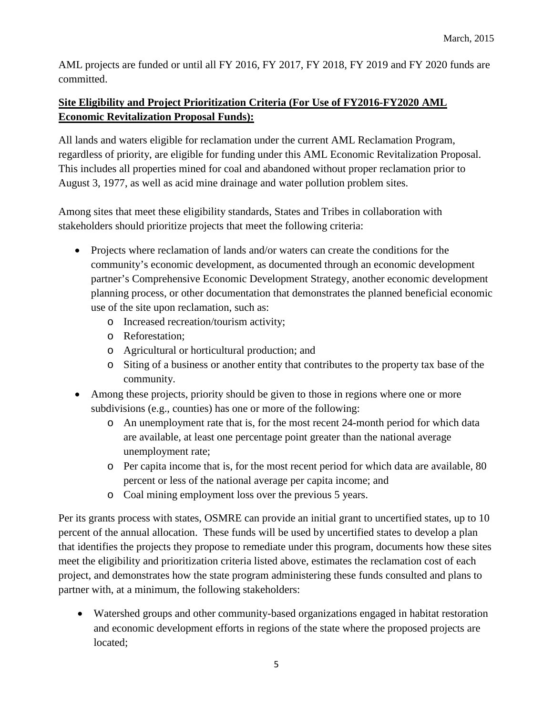AML projects are funded or until all FY 2016, FY 2017, FY 2018, FY 2019 and FY 2020 funds are committed.

# **Site Eligibility and Project Prioritization Criteria (For Use of FY2016-FY2020 AML Economic Revitalization Proposal Funds):**

All lands and waters eligible for reclamation under the current AML Reclamation Program, regardless of priority, are eligible for funding under this AML Economic Revitalization Proposal. This includes all properties mined for coal and abandoned without proper reclamation prior to August 3, 1977, as well as acid mine drainage and water pollution problem sites.

Among sites that meet these eligibility standards, States and Tribes in collaboration with stakeholders should prioritize projects that meet the following criteria:

- Projects where reclamation of lands and/or waters can create the conditions for the community's economic development, as documented through an economic development partner's Comprehensive Economic Development Strategy, another economic development planning process, or other documentation that demonstrates the planned beneficial economic use of the site upon reclamation, such as:
	- o Increased recreation/tourism activity;
	- o Reforestation;
	- o Agricultural or horticultural production; and
	- o Siting of a business or another entity that contributes to the property tax base of the community.
- Among these projects, priority should be given to those in regions where one or more subdivisions (e.g., counties) has one or more of the following:
	- o An unemployment rate that is, for the most recent 24-month period for which data are available, at least one percentage point greater than the national average unemployment rate;
	- o Per capita income that is, for the most recent period for which data are available, 80 percent or less of the national average per capita income; and
	- o Coal mining employment loss over the previous 5 years.

Per its grants process with states, OSMRE can provide an initial grant to uncertified states, up to 10 percent of the annual allocation. These funds will be used by uncertified states to develop a plan that identifies the projects they propose to remediate under this program, documents how these sites meet the eligibility and prioritization criteria listed above, estimates the reclamation cost of each project, and demonstrates how the state program administering these funds consulted and plans to partner with, at a minimum, the following stakeholders:

• Watershed groups and other community-based organizations engaged in habitat restoration and economic development efforts in regions of the state where the proposed projects are located;